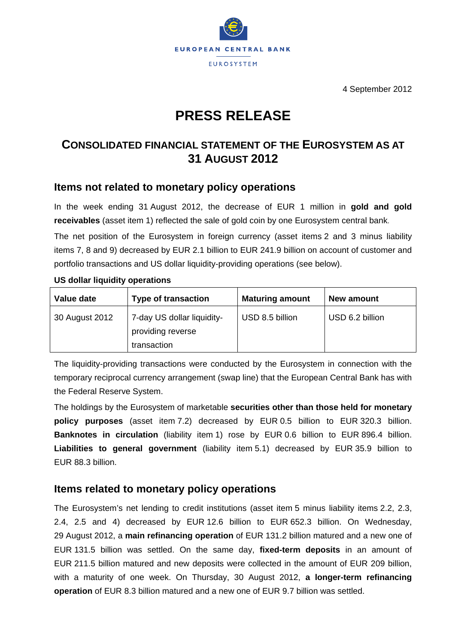

4 September 2012

# **PRESS RELEASE**

## **CONSOLIDATED FINANCIAL STATEMENT OF THE EUROSYSTEM AS AT 31 AUGUST 2012**

## **Items not related to monetary policy operations**

In the week ending 31 August 2012, the decrease of EUR 1 million in **gold and gold receivables** (asset item 1) reflected the sale of gold coin by one Eurosystem central bank.

The net position of the Eurosystem in foreign currency (asset items 2 and 3 minus liability items 7, 8 and 9) decreased by EUR 2.1 billion to EUR 241.9 billion on account of customer and portfolio transactions and US dollar liquidity-providing operations (see below).

| Value date     | <b>Type of transaction</b>                                     | <b>Maturing amount</b> | New amount      |
|----------------|----------------------------------------------------------------|------------------------|-----------------|
| 30 August 2012 | 7-day US dollar liquidity-<br>providing reverse<br>transaction | USD 8.5 billion        | USD 6.2 billion |

#### **US dollar liquidity operations**

The liquidity-providing transactions were conducted by the Eurosystem in connection with the temporary reciprocal currency arrangement (swap line) that the European Central Bank has with the Federal Reserve System.

The holdings by the Eurosystem of marketable **securities other than those held for monetary policy purposes** (asset item 7.2) decreased by EUR 0.5 billion to EUR 320.3 billion. **Banknotes in circulation** (liability item 1) rose by EUR 0.6 billion to EUR 896.4 billion. **Liabilities to general government** (liability item 5.1) decreased by EUR 35.9 billion to EUR 88.3 billion.

## **Items related to monetary policy operations**

The Eurosystem's net lending to credit institutions (asset item 5 minus liability items 2.2, 2.3, 2.4, 2.5 and 4) decreased by EUR 12.6 billion to EUR 652.3 billion. On Wednesday, 29 August 2012, a **main refinancing operation** of EUR 131.2 billion matured and a new one of EUR 131.5 billion was settled. On the same day, **fixed-term deposits** in an amount of EUR 211.5 billion matured and new deposits were collected in the amount of EUR 209 billion, with a maturity of one week. On Thursday, 30 August 2012, **a longer-term refinancing operation** of EUR 8.3 billion matured and a new one of EUR 9.7 billion was settled.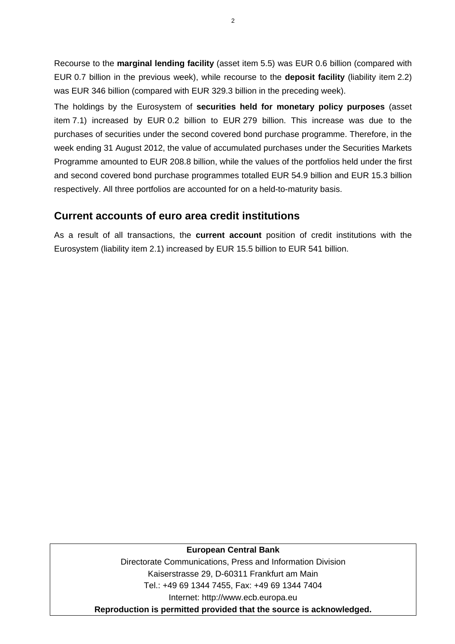Recourse to the **marginal lending facility** (asset item 5.5) was EUR 0.6 billion (compared with EUR 0.7 billion in the previous week), while recourse to the **deposit facility** (liability item 2.2) was EUR 346 billion (compared with EUR 329.3 billion in the preceding week).

The holdings by the Eurosystem of **securities held for monetary policy purposes** (asset item 7.1) increased by EUR 0.2 billion to EUR 279 billion. This increase was due to the purchases of securities under the second covered bond purchase programme. Therefore, in the week ending 31 August 2012, the value of accumulated purchases under the Securities Markets Programme amounted to EUR 208.8 billion, while the values of the portfolios held under the first and second covered bond purchase programmes totalled EUR 54.9 billion and EUR 15.3 billion respectively. All three portfolios are accounted for on a held-to-maturity basis.

### **Current accounts of euro area credit institutions**

As a result of all transactions, the **current account** position of credit institutions with the Eurosystem (liability item 2.1) increased by EUR 15.5 billion to EUR 541 billion.

#### **European Central Bank**

Directorate Communications, Press and Information Division Kaiserstrasse 29, D-60311 Frankfurt am Main Tel.: +49 69 1344 7455, Fax: +49 69 1344 7404 Internet: http://www.ecb.europa.eu **Reproduction is permitted provided that the source is acknowledged.**